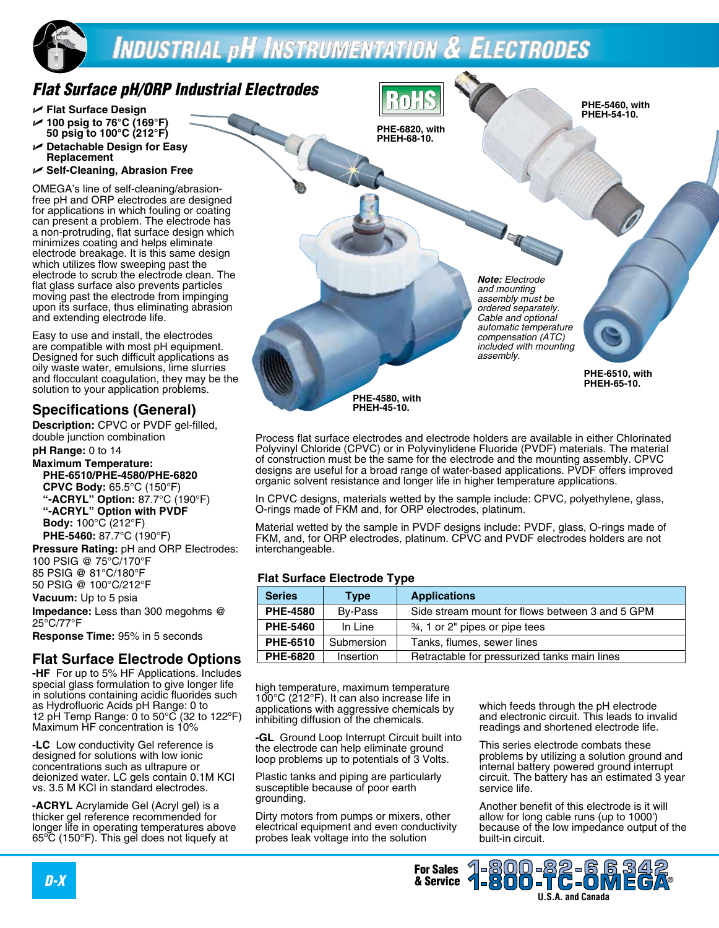# **INDUSTRIAL pH INSTRUMENTATION & ELECTRODES**

## *Flat Surface pH/ORP Industrial Electrodes*

- U **Flat Surface Design**
- U **100 psig to 76°C (169°F) 50 psig to 100°C (212°F)**
- U **Detachable Design for Easy Replacement**
- U **Self-Cleaning, Abrasion Free**

OMEGA's line of self-cleaning/abrasionfree pH and ORP electrodes are designed for applications in which fouling or coating can present a problem. The electrode has a non-protruding, flat surface design which minimizes coating and helps eliminate electrode breakage. It is this same design which utilizes flow sweeping past the electrode to scrub the electrode clean. The flat glass surface also prevents particles moving past the electrode from impinging upon its surface, thus eliminating abrasion and extending electrode life.

Easy to use and install, the electrodes are compatible with most pH equipment. Designed for such difficult applications as oily waste water, emulsions, lime slurries and flocculant coagulation, they may be the solution to your application problems.

### **Specifications (General)**

**Description:** CPVC or PVDF gel-filled, double junction combination

**pH Range:** 0 to 14

**Maximum Temperature: PHE-6510/PHE-4580/PHE-6820 CPVC Body:** 65.5°C (150°F) **"-ACRYL" Option:** 87.7°C (190°F) **"-ACRYL" Option with PVDF Body:** 100°C (212°F) **PHE-5460:** 87.7°C (190°F)

**Pressure Rating:** pH and ORP Electrodes: 100 PSIG @ 75°C/170°F 85 PSIG @ 81°C/180°F 50 PSIG @ 100°C/212°F

**Vacuum:** Up to 5 psia

**Impedance:** Less than 300 megohms @ 25°C/77°F

**Response Time:** 95% in 5 seconds

### **Flat Surface Electrode Options**

**-HF** For up to 5% HF Applications. Includes special glass formulation to give longer life in solutions containing acidic fluorides such as Hydrofluoric Acids pH Range: 0 to 12 pH Temp Range: 0 to  $50^{\circ}$ C (32 to 122 $^{\circ}$ F) Maximum HF concentration is 10%

**-LC** Low conductivity Gel reference is designed for solutions with low ionic concentrations such as ultrapure or deionized water. LC gels contain 0.1M KCI vs. 3.5 M KCI in standard electrodes.

**-ACRYL** Acrylamide Gel (Acryl gel) is a thicker gel reference recommended for longer life in operating temperatures above 65ºC (150°F). This gel does not liquefy at

**PHE-4580, with PHEH-45-10. PHE-5460, with PHEH-54-10. PHE-6820, with PHEH-68-10. PHE-6510, with PHEH-65-10.**  *Note: Electrode and mounting assembly must be ordered separately. Cable and optional automatic temperature compensation (ATC) included with mounting assembly.*

Process flat surface electrodes and electrode holders are available in either Chlorinated Polyvinyl Chloride (CPVC) or in Polyvinylidene Fluoride (PVDF) materials. The material of construction must be the same for the electrode and the mounting assembly. CPVC designs are useful for a broad range of water-based applications. PVDF offers improved organic solvent resistance and longer life in higher temperature applications.

In CPVC designs, materials wetted by the sample include: CPVC, polyethylene, glass, O-rings made of FKM and, for ORP electrodes, platinum.

Material wetted by the sample in PVDF designs include: PVDF, glass, O-rings made of FKM, and, for ORP electrodes, platinum. CPVC and PVDF electrodes holders are not interchangeable.

#### **Flat Surface Electrode Type**

| <b>Series</b>   | <b>Type</b> | <b>Applications</b>                             |  |
|-----------------|-------------|-------------------------------------------------|--|
| <b>PHE-4580</b> | By-Pass     | Side stream mount for flows between 3 and 5 GPM |  |
| <b>PHE-5460</b> | In Line     | 34, 1 or 2" pipes or pipe tees                  |  |
| PHE-6510        | Submersion  | Tanks, flumes, sewer lines                      |  |
| <b>PHE-6820</b> | Insertion   | Retractable for pressurized tanks main lines    |  |

high temperature, maximum temperature 100°C (212°F). It can also increase life in applications with aggressive chemicals by inhibiting diffusion of the chemicals.

**-GL** Ground Loop Interrupt Circuit built into the electrode can help eliminate ground loop problems up to potentials of 3 Volts.

Plastic tanks and piping are particularly susceptible because of poor earth grounding.

Dirty motors from pumps or mixers, other electrical equipment and even conductivity probes leak voltage into the solution

which feeds through the pH electrode and electronic circuit. This leads to invalid readings and shortened electrode life.

This series electrode combats these problems by utilizing a solution ground and internal battery powered ground interrupt circuit. The battery has an estimated 3 year service life.

Another benefit of this electrode is it will allow for long cable runs (up to 1000') because of the low impedance output of the built-in circuit.

**U.S.A. and Canada**

1-800-82 1-800-TC-01

**For Sales<br>& Service** *D-X* & Service